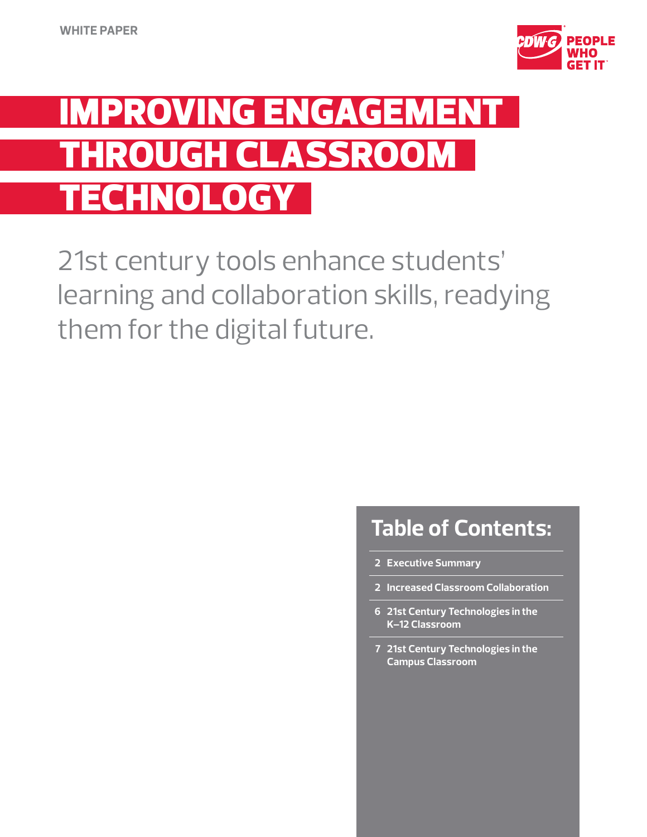

# Improving Engagement.. **THROUGH CLASSROOM CHNOLOGY**

21st century tools enhance students' learning and collaboration skills, readying them for the digital future.

## **Table of Contents:**

- **2 Executive Summary**
- **2 Increased Classroom Collaboration**
- **6 21st Century Technologies in the K–12 Classroom**
- **7 21st Century Technologies in the Campus Classroom**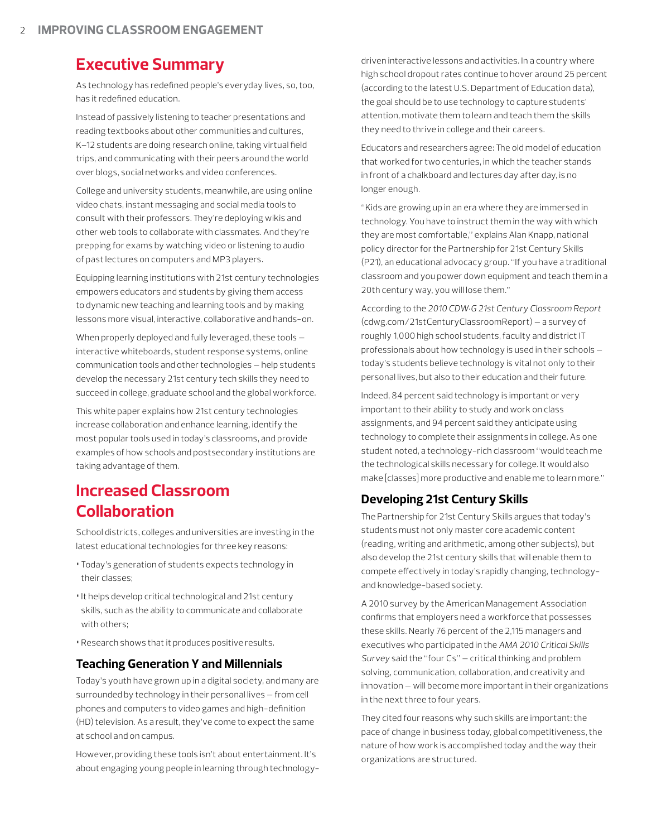### **Executive Summary**

As technology has redefined people's everyday lives, so, too, has it redefined education.

Instead of passively listening to teacher presentations and reading textbooks about other communities and cultures, K–12 students are doing research online, taking virtual field trips, and communicating with their peers around the world over blogs, social networks and video conferences.

College and university students, meanwhile, are using online video chats, instant messaging and social media tools to consult with their professors. They're deploying wikis and other web tools to collaborate with classmates. And they're prepping for exams by watching video or listening to audio of past lectures on computers and MP3 players.

Equipping learning institutions with 21st century technologies empowers educators and students by giving them access to dynamic new teaching and learning tools and by making lessons more visual, interactive, collaborative and hands-on.

When properly deployed and fully leveraged, these tools interactive whiteboards, student response systems, online communication tools and other technologies — help students develop the necessary 21st century tech skills they need to succeed in college, graduate school and the global workforce.

This white paper explains how 21st century technologies increase collaboration and enhance learning, identify the most popular tools used in today's classrooms, and provide examples of how schools and postsecondary institutions are taking advantage of them.

## **Increased Classroom Collaboration**

School districts, colleges and universities are investing in the latest educational technologies for three key reasons:

- •Today's generation of students expects technology in their classes;
- •It helps develop critical technological and 21st century skills, such as the ability to communicate and collaborate with others;
- •Research shows that it produces positive results.

#### **Teaching Generation Y and Millennials**

Today's youth have grown up in a digital society, and many are surrounded by technology in their personal lives — from cell phones and computers to video games and high-definition (HD) television. As a result, they've come to expect the same at school and on campus.

However, providing these tools isn't about entertainment. It's about engaging young people in learning through technologydriven interactive lessons and activities. In a country where high school dropout rates continue to hover around 25 percent (according to the latest U.S. Department of Education data), the goal should be to use technology to capture students' attention, motivate them to learn and teach them the skills they need to thrive in college and their careers.

Educators and researchers agree: The old model of education that worked for two centuries, in which the teacher stands in front of a chalkboard and lectures day after day, is no longer enough.

"Kids are growing up in an era where they are immersed in technology. You have to instruct them in the way with which they are most comfortable," explains Alan Knapp, national policy director for the Partnership for 21st Century Skills (P21), an educational advocacy group. "If you have a traditional classroom and you power down equipment and teach them in a 20th century way, you will lose them."

According to the *2010 CDW•G 21st Century Classroom Report* (cdwg.com/21stCenturyClassroomReport) — a survey of roughly 1,000 high school students, faculty and district IT professionals about how technology is used in their schools today's students believe technology is vital not only to their personal lives, but also to their education and their future.

Indeed, 84 percent said technology is important or very important to their ability to study and work on class assignments, and 94 percent said they anticipate using technology to complete their assignments in college. As one student noted, a technology-rich classroom "would teach me the technological skills necessary for college. It would also make [classes] more productive and enable me to learn more."

#### **Developing 21st Century Skills**

The Partnership for 21st Century Skills argues that today's students must not only master core academic content (reading, writing and arithmetic, among other subjects), but also develop the 21st century skills that will enable them to compete effectively in today's rapidly changing, technologyand knowledge-based society.

A 2010 survey by the American Management Association confirms that employers need a workforce that possesses these skills. Nearly 76 percent of the 2,115 managers and executives who participated in the *AMA 2010 Critical Skills Survey* said the "four Cs" — critical thinking and problem solving, communication, collaboration, and creativity and innovation — will become more important in their organizations in the next three to four years.

They cited four reasons why such skills are important: the pace of change in business today, global competitiveness, the nature of how work is accomplished today and the way their organizations are structured.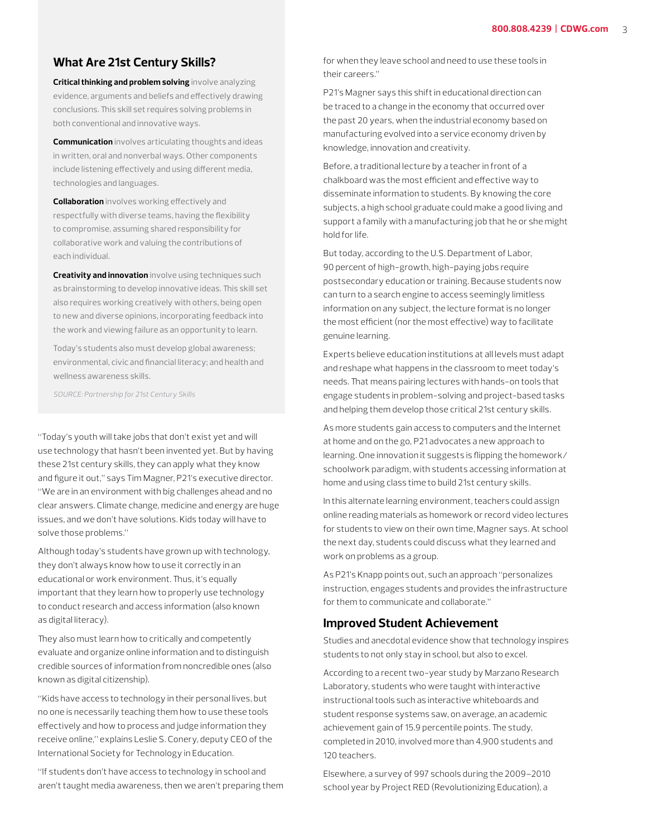#### **What Are 21st Century Skills?**

**Critical thinking and problem solving** involve analyzing evidence, arguments and beliefs and effectively drawing conclusions. This skill set requires solving problems in both conventional and innovative ways.

**Communication** involves articulating thoughts and ideas in written, oral and nonverbal ways. Other components include listening effectively and using different media, technologies and languages.

**Collaboration** involves working effectively and respectfully with diverse teams, having the flexibility to compromise, assuming shared responsibility for collaborative work and valuing the contributions of each individual.

**Creativity and innovation** involve using techniques such as brainstorming to develop innovative ideas. This skill set also requires working creatively with others, being open to new and diverse opinions, incorporating feedback into the work and viewing failure as an opportunity to learn.

Today's students also must develop global awareness; environmental, civic and financial literacy; and health and wellness awareness skills.

*SOURCE: Partnership for 21st Century Skills*

"Today's youth will take jobs that don't exist yet and will use technology that hasn't been invented yet. But by having these 21st century skills, they can apply what they know and figure it out," says Tim Magner, P21's executive director. "We are in an environment with big challenges ahead and no clear answers. Climate change, medicine and energy are huge issues, and we don't have solutions. Kids today will have to solve those problems."

Although today's students have grown up with technology, they don't always know how to use it correctly in an educational or work environment. Thus, it's equally important that they learn how to properly use technology to conduct research and access information (also known as digital literacy).

They also must learn how to critically and competently evaluate and organize online information and to distinguish credible sources of information from noncredible ones (also known as digital citizenship).

"Kids have access to technology in their personal lives, but no one is necessarily teaching them how to use these tools effectively and how to process and judge information they receive online," explains Leslie S. Conery, deputy CEO of the International Society for Technology in Education.

"If students don't have access to technology in school and aren't taught media awareness, then we aren't preparing them for when they leave school and need to use these tools in their careers."

P21's Magner says this shift in educational direction can be traced to a change in the economy that occurred over the past 20 years, when the industrial economy based on manufacturing evolved into a service economy driven by knowledge, innovation and creativity.

Before, a traditional lecture by a teacher in front of a chalkboard was the most efficient and effective way to disseminate information to students. By knowing the core subjects, a high school graduate could make a good living and support a family with a manufacturing job that he or she might hold for life.

But today, according to the U.S. Department of Labor, 90 percent of high-growth, high-paying jobs require postsecondary education or training. Because students now can turn to a search engine to access seemingly limitless information on any subject, the lecture format is no longer the most efficient (nor the most effective) way to facilitate genuine learning.

Experts believe education institutions at all levels must adapt and reshape what happens in the classroom to meet today's needs. That means pairing lectures with hands-on tools that engage students in problem-solving and project-based tasks and helping them develop those critical 21st century skills.

As more students gain access to computers and the Internet at home and on the go, P21 advocates a new approach to learning. One innovation it suggests is flipping the homework/ schoolwork paradigm, with students accessing information at home and using class time to build 21st century skills.

In this alternate learning environment, teachers could assign online reading materials as homework or record video lectures for students to view on their own time, Magner says. At school the next day, students could discuss what they learned and work on problems as a group.

As P21's Knapp points out, such an approach "personalizes instruction, engages students and provides the infrastructure for them to communicate and collaborate."

#### **Improved Student Achievement**

Studies and anecdotal evidence show that technology inspires students to not only stay in school, but also to excel.

According to a recent two-year study by Marzano Research Laboratory, students who were taught with interactive instructional tools such as interactive whiteboards and student response systems saw, on average, an academic achievement gain of 15.9 percentile points. The study, completed in 2010, involved more than 4,900 students and 120 teachers.

Elsewhere, a survey of 997 schools during the 2009–2010 school year by Project RED (Revolutionizing Education), a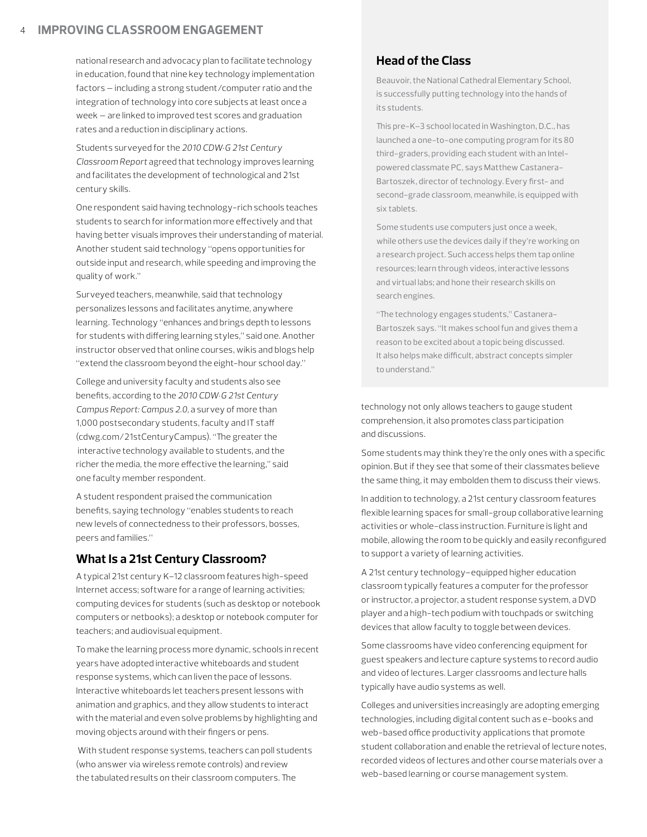#### 4 **Improving Classroom Engagement**

national research and advocacy plan to facilitate technology in education, found that nine key technology implementation factors — including a strong student/computer ratio and the integration of technology into core subjects at least once a week — are linked to improved test scores and graduation rates and a reduction in disciplinary actions.

Students surveyed for the *2010 CDW•G 21st Century Classroom Report* agreed that technology improves learning and facilitates the development of technological and 21st century skills.

One respondent said having technology-rich schools teaches students to search for information more effectively and that having better visuals improves their understanding of material. Another student said technology "opens opportunities for outside input and research, while speeding and improving the quality of work."

Surveyed teachers, meanwhile, said that technology personalizes lessons and facilitates anytime, anywhere learning. Technology "enhances and brings depth to lessons for students with differing learning styles," said one. Another instructor observed that online courses, wikis and blogs help "extend the classroom beyond the eight-hour school day."

College and university faculty and students also see benefits, according to the *2010 CDW•G 21st Century Campus Report: Campus 2.0,* a survey of more than 1,000 postsecondary students, faculty and IT staff (cdwg.com/21stCenturyCampus). "The greater the interactive technology available to students, and the richer the media, the more effective the learning," said one faculty member respondent.

A student respondent praised the communication benefits, saying technology "enables students to reach new levels of connectedness to their professors, bosses, peers and families."

#### **What Is a 21st Century Classroom?**

A typical 21st century K–12 classroom features high-speed Internet access; software for a range of learning activities; computing devices for students (such as desktop or notebook computers or netbooks); a desktop or notebook computer for teachers; and audiovisual equipment.

To make the learning process more dynamic, schools in recent years have adopted interactive whiteboards and student response systems, which can liven the pace of lessons. Interactive whiteboards let teachers present lessons with animation and graphics, and they allow students to interact with the material and even solve problems by highlighting and moving objects around with their fingers or pens.

 With student response systems, teachers can poll students (who answer via wireless remote controls) and review the tabulated results on their classroom computers. The

#### **Head of the Class**

Beauvoir, the National Cathedral Elementary School, is successfully putting technology into the hands of its students.

This pre-K–3 school located in Washington, D.C., has launched a one-to-one computing program for its 80 third-graders, providing each student with an Intelpowered classmate PC, says Matthew Castanera-Bartoszek, director of technology. Every first- and second-grade classroom, meanwhile, is equipped with six tablets.

Some students use computers just once a week, while others use the devices daily if they're working on a research project. Such access helps them tap online resources; learn through videos, interactive lessons and virtual labs; and hone their research skills on search engines.

"The technology engages students," Castanera-Bartoszek says. "It makes school fun and gives them a reason to be excited about a topic being discussed. It also helps make difficult, abstract concepts simpler to understand."

technology not only allows teachers to gauge student comprehension, it also promotes class participation and discussions.

Some students may think they're the only ones with a specific opinion. But if they see that some of their classmates believe the same thing, it may embolden them to discuss their views.

In addition to technology, a 21st century classroom features flexible learning spaces for small-group collaborative learning activities or whole-class instruction. Furniture is light and mobile, allowing the room to be quickly and easily reconfigured to support a variety of learning activities.

A 21st century technology–equipped higher education classroom typically features a computer for the professor or instructor, a projector, a student response system, a DVD player and a high-tech podium with touchpads or switching devices that allow faculty to toggle between devices.

Some classrooms have video conferencing equipment for guest speakers and lecture capture systems to record audio and video of lectures. Larger classrooms and lecture halls typically have audio systems as well.

Colleges and universities increasingly are adopting emerging technologies, including digital content such as e-books and web-based office productivity applications that promote student collaboration and enable the retrieval of lecture notes, recorded videos of lectures and other course materials over a web-based learning or course management system.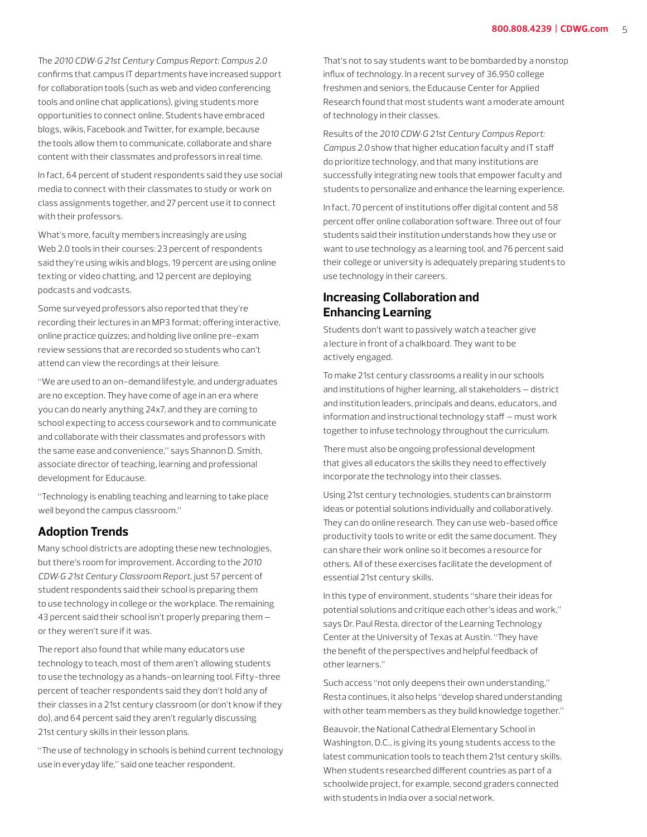The *2010 CDW•G 21st Century Campus Report: Campus 2.0* confirms that campus IT departments have increased support for collaboration tools (such as web and video conferencing tools and online chat applications), giving students more opportunities to connect online. Students have embraced blogs, wikis, Facebook and Twitter, for example, because the tools allow them to communicate, collaborate and share content with their classmates and professors in real time.

In fact, 64 percent of student respondents said they use social media to connect with their classmates to study or work on class assignments together, and 27 percent use it to connect with their professors.

What's more, faculty members increasingly are using Web 2.0 tools in their courses: 23 percent of respondents said they're using wikis and blogs, 19 percent are using online texting or video chatting, and 12 percent are deploying podcasts and vodcasts.

Some surveyed professors also reported that they're recording their lectures in an MP3 format; offering interactive, online practice quizzes; and holding live online pre-exam review sessions that are recorded so students who can't attend can view the recordings at their leisure.

"We are used to an on-demand lifestyle, and undergraduates are no exception. They have come of age in an era where you can do nearly anything 24x7, and they are coming to school expecting to access coursework and to communicate and collaborate with their classmates and professors with the same ease and convenience," says Shannon D. Smith, associate director of teaching, learning and professional development for Educause.

"Technology is enabling teaching and learning to take place well beyond the campus classroom."

#### **Adoption Trends**

Many school districts are adopting these new technologies, but there's room for improvement. According to the *2010 CDW•G 21st Century Classroom Report,* just 57 percent of student respondents said their school is preparing them to use technology in college or the workplace. The remaining 43 percent said their school isn't properly preparing them or they weren't sure if it was.

The report also found that while many educators use technology to teach, most of them aren't allowing students to use the technology as a hands-on learning tool. Fifty-three percent of teacher respondents said they don't hold any of their classes in a 21st century classroom (or don't know if they do), and 64 percent said they aren't regularly discussing 21st century skills in their lesson plans.

"The use of technology in schools is behind current technology use in everyday life," said one teacher respondent.

That's not to say students want to be bombarded by a nonstop influx of technology. In a recent survey of 36,950 college freshmen and seniors, the Educause Center for Applied Research found that most students want a moderate amount of technology in their classes.

Results of the *2010 CDW•G 21st Century Campus Report: Campus 2.0* show that higher education faculty and IT staff do prioritize technology, and that many institutions are successfully integrating new tools that empower faculty and students to personalize and enhance the learning experience.

In fact, 70 percent of institutions offer digital content and 58 percent offer online collaboration software. Three out of four students said their institution understands how they use or want to use technology as a learning tool, and 76 percent said their college or university is adequately preparing students to use technology in their careers.

#### **Increasing Collaboration and Enhancing Learning**

Students don't want to passively watch a teacher give a lecture in front of a chalkboard. They want to be actively engaged.

To make 21st century classrooms a reality in our schools and institutions of higher learning, all stakeholders — district and institution leaders, principals and deans, educators, and information and instructional technology staff — must work together to infuse technology throughout the curriculum.

There must also be ongoing professional development that gives all educators the skills they need to effectively incorporate the technology into their classes.

Using 21st century technologies, students can brainstorm ideas or potential solutions individually and collaboratively. They can do online research. They can use web-based office productivity tools to write or edit the same document. They can share their work online so it becomes a resource for others. All of these exercises facilitate the development of essential 21st century skills.

In this type of environment, students "share their ideas for potential solutions and critique each other's ideas and work," says Dr. Paul Resta, director of the Learning Technology Center at the University of Texas at Austin. "They have the benefit of the perspectives and helpful feedback of other learners."

Such access "not only deepens their own understanding," Resta continues, it also helps "develop shared understanding with other team members as they build knowledge together."

Beauvoir, the National Cathedral Elementary School in Washington, D.C., is giving its young students access to the latest communication tools to teach them 21st century skills. When students researched different countries as part of a schoolwide project, for example, second graders connected with students in India over a social network.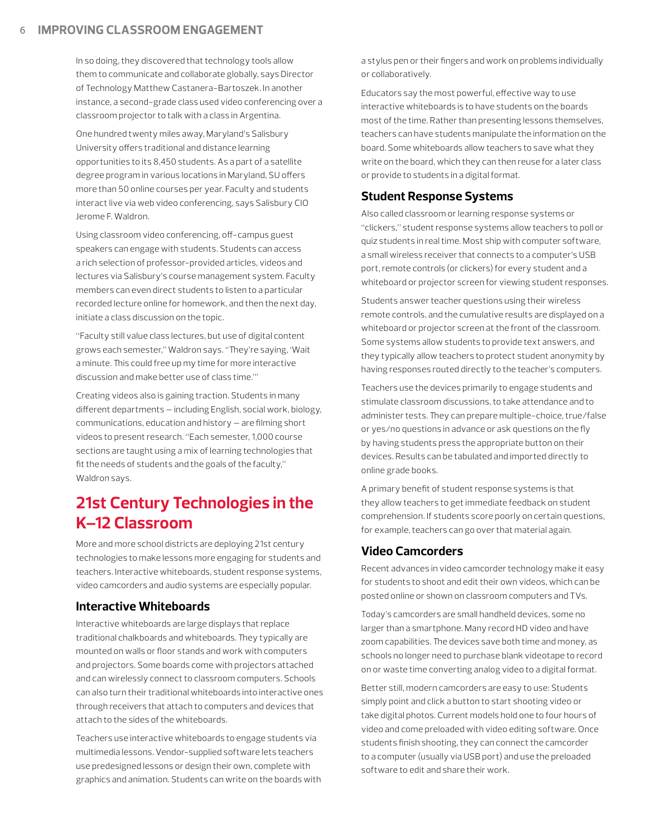In so doing, they discovered that technology tools allow them to communicate and collaborate globally, says Director of Technology Matthew Castanera-Bartoszek. In another instance, a second-grade class used video conferencing over a classroom projector to talk with a class in Argentina.

One hundred twenty miles away, Maryland's Salisbury University offers traditional and distance learning opportunities to its 8,450 students. As a part of a satellite degree program in various locations in Maryland, SU offers more than 50 online courses per year. Faculty and students interact live via web video conferencing, says Salisbury CIO Jerome F. Waldron.

Using classroom video conferencing, off-campus guest speakers can engage with students. Students can access a rich selection of professor-provided articles, videos and lectures via Salisbury's course management system. Faculty members can even direct students to listen to a particular recorded lecture online for homework, and then the next day, initiate a class discussion on the topic.

"Faculty still value class lectures, but use of digital content grows each semester," Waldron says. "They're saying, 'Wait a minute. This could free up my time for more interactive discussion and make better use of class time.'"

Creating videos also is gaining traction. Students in many different departments — including English, social work, biology, communications, education and history — are filming short videos to present research. "Each semester, 1,000 course sections are taught using a mix of learning technologies that fit the needs of students and the goals of the faculty," Waldron says.

## **21st Century Technologies in the K–12 Classroom**

More and more school districts are deploying 21st century technologies to make lessons more engaging for students and teachers. Interactive whiteboards, student response systems, video camcorders and audio systems are especially popular.

#### **Interactive Whiteboards**

Interactive whiteboards are large displays that replace traditional chalkboards and whiteboards. They typically are mounted on walls or floor stands and work with computers and projectors. Some boards come with projectors attached and can wirelessly connect to classroom computers. Schools can also turn their traditional whiteboards into interactive ones through receivers that attach to computers and devices that attach to the sides of the whiteboards.

Teachers use interactive whiteboards to engage students via multimedia lessons. Vendor-supplied software lets teachers use predesigned lessons or design their own, complete with graphics and animation. Students can write on the boards with

a stylus pen or their fingers and work on problems individually or collaboratively.

Educators say the most powerful, effective way to use interactive whiteboards is to have students on the boards most of the time. Rather than presenting lessons themselves, teachers can have students manipulate the information on the board. Some whiteboards allow teachers to save what they write on the board, which they can then reuse for a later class or provide to students in a digital format.

#### **Student Response Systems**

Also called classroom or learning response systems or "clickers," student response systems allow teachers to poll or quiz students in real time. Most ship with computer software, a small wireless receiver that connects to a computer's USB port, remote controls (or clickers) for every student and a whiteboard or projector screen for viewing student responses.

Students answer teacher questions using their wireless remote controls, and the cumulative results are displayed on a whiteboard or projector screen at the front of the classroom. Some systems allow students to provide text answers, and they typically allow teachers to protect student anonymity by having responses routed directly to the teacher's computers.

Teachers use the devices primarily to engage students and stimulate classroom discussions, to take attendance and to administer tests. They can prepare multiple-choice, true/false or yes/no questions in advance or ask questions on the fly by having students press the appropriate button on their devices. Results can be tabulated and imported directly to online grade books.

A primary benefit of student response systems is that they allow teachers to get immediate feedback on student comprehension. If students score poorly on certain questions, for example, teachers can go over that material again.

#### **Video Camcorders**

Recent advances in video camcorder technology make it easy for students to shoot and edit their own videos, which can be posted online or shown on classroom computers and TVs.

Today's camcorders are small handheld devices, some no larger than a smartphone. Many record HD video and have zoom capabilities. The devices save both time and money, as schools no longer need to purchase blank videotape to record on or waste time converting analog video to a digital format.

Better still, modern camcorders are easy to use: Students simply point and click a button to start shooting video or take digital photos. Current models hold one to four hours of video and come preloaded with video editing software. Once students finish shooting, they can connect the camcorder to a computer (usually via USB port) and use the preloaded software to edit and share their work.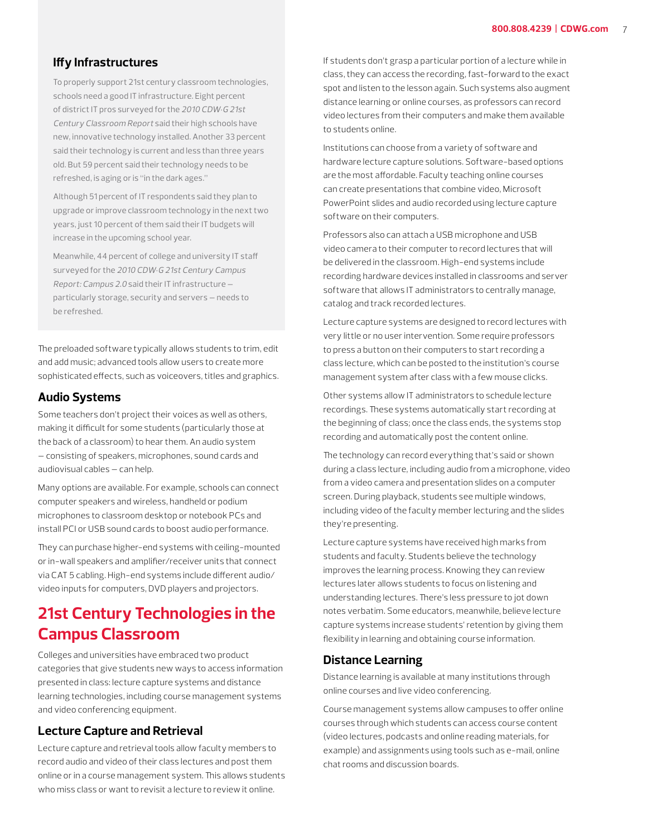#### **Iffy Infrastructures**

To properly support 21st century classroom technologies, schools need a good IT infrastructure. Eight percent of district IT pros surveyed for the 2010 CDW•G 21st Century Classroom Report said their high schools have new, innovative technology installed. Another 33 percent said their technology is current and less than three years old. But 59 percent said their technology needs to be refreshed, is aging or is "in the dark ages."

Although 51 percent of IT respondents said they plan to upgrade or improve classroom technology in the next two years, just 10 percent of them said their IT budgets will increase in the upcoming school year.

Meanwhile, 44 percent of college and university IT staff surveyed for the 2010 CDW•G 21st Century Campus Report: Campus 2.0 said their IT infrastructure particularly storage, security and servers — needs to be refreshed.

The preloaded software typically allows students to trim, edit and add music; advanced tools allow users to create more sophisticated effects, such as voiceovers, titles and graphics.

#### **Audio Systems**

Some teachers don't project their voices as well as others, making it difficult for some students (particularly those at the back of a classroom) to hear them. An audio system — consisting of speakers, microphones, sound cards and audiovisual cables — can help.

Many options are available. For example, schools can connect computer speakers and wireless, handheld or podium microphones to classroom desktop or notebook PCs and install PCI or USB sound cards to boost audio performance.

They can purchase higher-end systems with ceiling-mounted or in-wall speakers and amplifier/receiver units that connect via CAT 5 cabling. High-end systems include different audio/ video inputs for computers, DVD players and projectors.

## **21st Century Technologies in the Campus Classroom**

Colleges and universities have embraced two product categories that give students new ways to access information presented in class: lecture capture systems and distance learning technologies, including course management systems and video conferencing equipment.

#### **Lecture Capture and Retrieval**

Lecture capture and retrieval tools allow faculty members to record audio and video of their class lectures and post them online or in a course management system. This allows students who miss class or want to revisit a lecture to review it online.

If students don't grasp a particular portion of a lecture while in class, they can access the recording, fast-forward to the exact spot and listen to the lesson again. Such systems also augment distance learning or online courses, as professors can record video lectures from their computers and make them available to students online.

Institutions can choose from a variety of software and hardware lecture capture solutions. Software-based options are the most affordable. Faculty teaching online courses can create presentations that combine video, Microsoft PowerPoint slides and audio recorded using lecture capture software on their computers.

Professors also can attach a USB microphone and USB video camera to their computer to record lectures that will be delivered in the classroom. High-end systems include recording hardware devices installed in classrooms and server software that allows IT administrators to centrally manage, catalog and track recorded lectures.

Lecture capture systems are designed to record lectures with very little or no user intervention. Some require professors to press a button on their computers to start recording a class lecture, which can be posted to the institution's course management system after class with a few mouse clicks.

Other systems allow IT administrators to schedule lecture recordings. These systems automatically start recording at the beginning of class; once the class ends, the systems stop recording and automatically post the content online.

The technology can record everything that's said or shown during a class lecture, including audio from a microphone, video from a video camera and presentation slides on a computer screen. During playback, students see multiple windows, including video of the faculty member lecturing and the slides they're presenting.

Lecture capture systems have received high marks from students and faculty. Students believe the technology improves the learning process. Knowing they can review lectures later allows students to focus on listening and understanding lectures. There's less pressure to jot down notes verbatim. Some educators, meanwhile, believe lecture capture systems increase students' retention by giving them flexibility in learning and obtaining course information.

#### **Distance Learning**

Distance learning is available at many institutions through online courses and live video conferencing.

Course management systems allow campuses to offer online courses through which students can access course content (video lectures, podcasts and online reading materials, for example) and assignments using tools such as e-mail, online chat rooms and discussion boards.